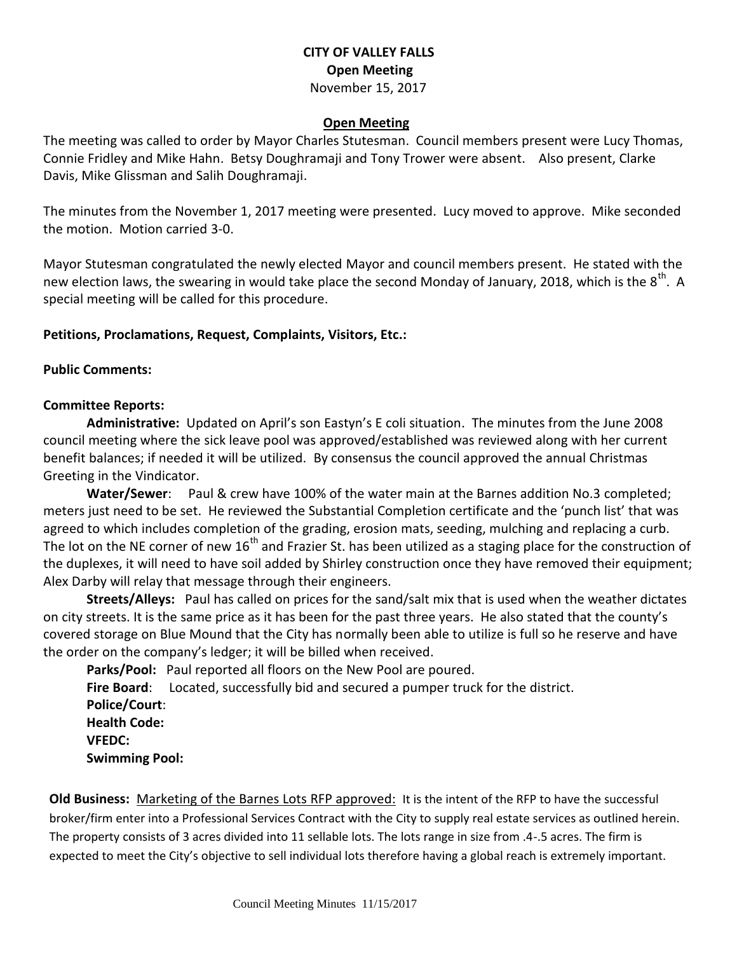# **CITY OF VALLEY FALLS Open Meeting** November 15, 2017

#### **Open Meeting**

The meeting was called to order by Mayor Charles Stutesman. Council members present were Lucy Thomas, Connie Fridley and Mike Hahn. Betsy Doughramaji and Tony Trower were absent. Also present, Clarke Davis, Mike Glissman and Salih Doughramaji.

The minutes from the November 1, 2017 meeting were presented. Lucy moved to approve. Mike seconded the motion. Motion carried 3-0.

Mayor Stutesman congratulated the newly elected Mayor and council members present. He stated with the new election laws, the swearing in would take place the second Monday of January, 2018, which is the 8<sup>th</sup>. A special meeting will be called for this procedure.

# **Petitions, Proclamations, Request, Complaints, Visitors, Etc.:**

# **Public Comments:**

#### **Committee Reports:**

**Administrative:** Updated on April's son Eastyn's E coli situation. The minutes from the June 2008 council meeting where the sick leave pool was approved/established was reviewed along with her current benefit balances; if needed it will be utilized. By consensus the council approved the annual Christmas Greeting in the Vindicator.

**Water/Sewer**: Paul & crew have 100% of the water main at the Barnes addition No.3 completed; meters just need to be set. He reviewed the Substantial Completion certificate and the 'punch list' that was agreed to which includes completion of the grading, erosion mats, seeding, mulching and replacing a curb. The lot on the NE corner of new  $16<sup>th</sup>$  and Frazier St. has been utilized as a staging place for the construction of the duplexes, it will need to have soil added by Shirley construction once they have removed their equipment; Alex Darby will relay that message through their engineers.

**Streets/Alleys:** Paul has called on prices for the sand/salt mix that is used when the weather dictates on city streets. It is the same price as it has been for the past three years. He also stated that the county's covered storage on Blue Mound that the City has normally been able to utilize is full so he reserve and have the order on the company's ledger; it will be billed when received.

**Parks/Pool:** Paul reported all floors on the New Pool are poured. **Fire Board**: Located, successfully bid and secured a pumper truck for the district. **Police/Court**: **Health Code: VFEDC: Swimming Pool:** 

**Old Business:** Marketing of the Barnes Lots RFP approved: It is the intent of the RFP to have the successful broker/firm enter into a Professional Services Contract with the City to supply real estate services as outlined herein. The property consists of 3 acres divided into 11 sellable lots. The lots range in size from .4-.5 acres. The firm is expected to meet the City's objective to sell individual lots therefore having a global reach is extremely important.